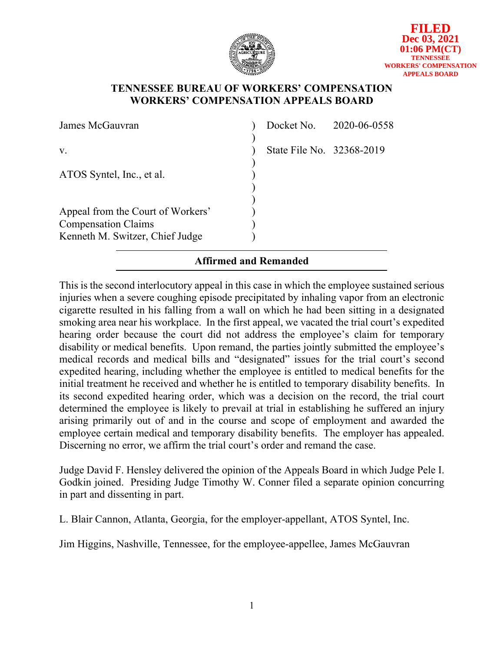

## **TENNESSEE BUREAU OF WORKERS' COMPENSATION WORKERS' COMPENSATION APPEALS BOARD**

| James McGauvran                                                                                    |                           | Docket No. 2020-06-0558 |
|----------------------------------------------------------------------------------------------------|---------------------------|-------------------------|
| V.                                                                                                 | State File No. 32368-2019 |                         |
| ATOS Syntel, Inc., et al.                                                                          |                           |                         |
| Appeal from the Court of Workers'<br><b>Compensation Claims</b><br>Kenneth M. Switzer, Chief Judge |                           |                         |

## **Affirmed and Remanded**

This is the second interlocutory appeal in this case in which the employee sustained serious injuries when a severe coughing episode precipitated by inhaling vapor from an electronic cigarette resulted in his falling from a wall on which he had been sitting in a designated smoking area near his workplace. In the first appeal, we vacated the trial court's expedited hearing order because the court did not address the employee's claim for temporary disability or medical benefits. Upon remand, the parties jointly submitted the employee's medical records and medical bills and "designated" issues for the trial court's second expedited hearing, including whether the employee is entitled to medical benefits for the initial treatment he received and whether he is entitled to temporary disability benefits. In its second expedited hearing order, which was a decision on the record, the trial court determined the employee is likely to prevail at trial in establishing he suffered an injury arising primarily out of and in the course and scope of employment and awarded the employee certain medical and temporary disability benefits. The employer has appealed. Discerning no error, we affirm the trial court's order and remand the case.

Judge David F. Hensley delivered the opinion of the Appeals Board in which Judge Pele I. Godkin joined. Presiding Judge Timothy W. Conner filed a separate opinion concurring in part and dissenting in part.

L. Blair Cannon, Atlanta, Georgia, for the employer-appellant, ATOS Syntel, Inc.

Jim Higgins, Nashville, Tennessee, for the employee-appellee, James McGauvran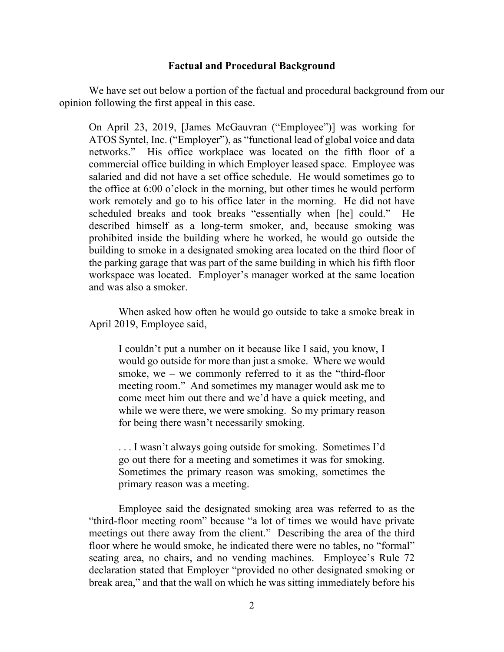### **Factual and Procedural Background**

We have set out below a portion of the factual and procedural background from our opinion following the first appeal in this case.

On April 23, 2019, [James McGauvran ("Employee")] was working for ATOS Syntel, Inc. ("Employer"), as "functional lead of global voice and data networks." His office workplace was located on the fifth floor of a commercial office building in which Employer leased space. Employee was salaried and did not have a set office schedule. He would sometimes go to the office at 6:00 o'clock in the morning, but other times he would perform work remotely and go to his office later in the morning. He did not have scheduled breaks and took breaks "essentially when [he] could." He described himself as a long-term smoker, and, because smoking was prohibited inside the building where he worked, he would go outside the building to smoke in a designated smoking area located on the third floor of the parking garage that was part of the same building in which his fifth floor workspace was located. Employer's manager worked at the same location and was also a smoker.

When asked how often he would go outside to take a smoke break in April 2019, Employee said,

I couldn't put a number on it because like I said, you know, I would go outside for more than just a smoke. Where we would smoke, we – we commonly referred to it as the "third-floor meeting room." And sometimes my manager would ask me to come meet him out there and we'd have a quick meeting, and while we were there, we were smoking. So my primary reason for being there wasn't necessarily smoking.

. . . I wasn't always going outside for smoking. Sometimes I'd go out there for a meeting and sometimes it was for smoking. Sometimes the primary reason was smoking, sometimes the primary reason was a meeting.

Employee said the designated smoking area was referred to as the "third-floor meeting room" because "a lot of times we would have private meetings out there away from the client." Describing the area of the third floor where he would smoke, he indicated there were no tables, no "formal" seating area, no chairs, and no vending machines. Employee's Rule 72 declaration stated that Employer "provided no other designated smoking or break area," and that the wall on which he was sitting immediately before his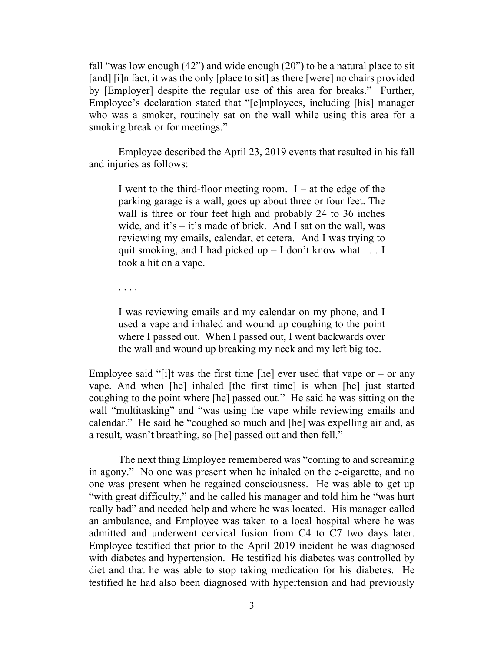fall "was low enough (42") and wide enough (20") to be a natural place to sit [and] [i]n fact, it was the only [place to sit] as there [were] no chairs provided by [Employer] despite the regular use of this area for breaks." Further, Employee's declaration stated that "[e]mployees, including [his] manager who was a smoker, routinely sat on the wall while using this area for a smoking break or for meetings."

Employee described the April 23, 2019 events that resulted in his fall and injuries as follows:

I went to the third-floor meeting room.  $I - at$  the edge of the parking garage is a wall, goes up about three or four feet. The wall is three or four feet high and probably 24 to 36 inches wide, and it's  $-$  it's made of brick. And I sat on the wall, was reviewing my emails, calendar, et cetera. And I was trying to quit smoking, and I had picked up  $-$  I don't know what . . . I took a hit on a vape.

. . . .

I was reviewing emails and my calendar on my phone, and I used a vape and inhaled and wound up coughing to the point where I passed out. When I passed out, I went backwards over the wall and wound up breaking my neck and my left big toe.

Employee said "[i]t was the first time [he] ever used that vape or – or any vape. And when [he] inhaled [the first time] is when [he] just started coughing to the point where [he] passed out." He said he was sitting on the wall "multitasking" and "was using the vape while reviewing emails and calendar." He said he "coughed so much and [he] was expelling air and, as a result, wasn't breathing, so [he] passed out and then fell."

The next thing Employee remembered was "coming to and screaming in agony." No one was present when he inhaled on the e-cigarette, and no one was present when he regained consciousness. He was able to get up "with great difficulty," and he called his manager and told him he "was hurt really bad" and needed help and where he was located. His manager called an ambulance, and Employee was taken to a local hospital where he was admitted and underwent cervical fusion from C4 to C7 two days later. Employee testified that prior to the April 2019 incident he was diagnosed with diabetes and hypertension. He testified his diabetes was controlled by diet and that he was able to stop taking medication for his diabetes. He testified he had also been diagnosed with hypertension and had previously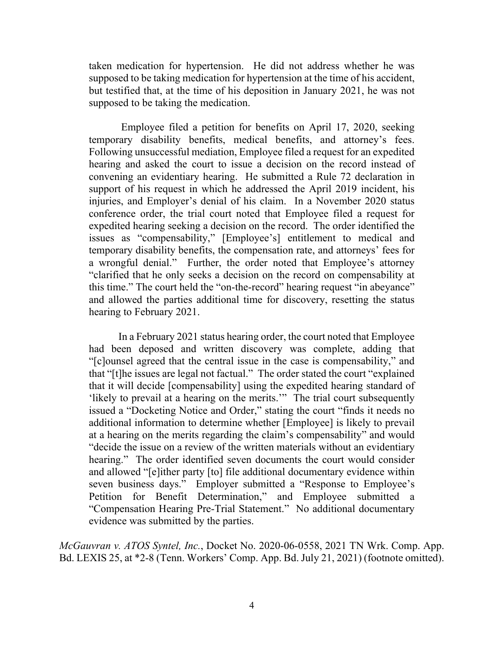taken medication for hypertension. He did not address whether he was supposed to be taking medication for hypertension at the time of his accident, but testified that, at the time of his deposition in January 2021, he was not supposed to be taking the medication.

Employee filed a petition for benefits on April 17, 2020, seeking temporary disability benefits, medical benefits, and attorney's fees. Following unsuccessful mediation, Employee filed a request for an expedited hearing and asked the court to issue a decision on the record instead of convening an evidentiary hearing. He submitted a Rule 72 declaration in support of his request in which he addressed the April 2019 incident, his injuries, and Employer's denial of his claim. In a November 2020 status conference order, the trial court noted that Employee filed a request for expedited hearing seeking a decision on the record. The order identified the issues as "compensability," [Employee's] entitlement to medical and temporary disability benefits, the compensation rate, and attorneys' fees for a wrongful denial." Further, the order noted that Employee's attorney "clarified that he only seeks a decision on the record on compensability at this time." The court held the "on-the-record" hearing request "in abeyance" and allowed the parties additional time for discovery, resetting the status hearing to February 2021.

In a February 2021 status hearing order, the court noted that Employee had been deposed and written discovery was complete, adding that "[c]ounsel agreed that the central issue in the case is compensability," and that "[t]he issues are legal not factual." The order stated the court "explained that it will decide [compensability] using the expedited hearing standard of 'likely to prevail at a hearing on the merits.'" The trial court subsequently issued a "Docketing Notice and Order," stating the court "finds it needs no additional information to determine whether [Employee] is likely to prevail at a hearing on the merits regarding the claim's compensability" and would "decide the issue on a review of the written materials without an evidentiary hearing." The order identified seven documents the court would consider and allowed "[e]ither party [to] file additional documentary evidence within seven business days." Employer submitted a "Response to Employee's Petition for Benefit Determination," and Employee submitted a "Compensation Hearing Pre-Trial Statement." No additional documentary evidence was submitted by the parties.

*McGauvran v. ATOS Syntel, Inc.*, Docket No. 2020-06-0558, 2021 TN Wrk. Comp. App. Bd. LEXIS 25, at \*2-8 (Tenn. Workers' Comp. App. Bd. July 21, 2021) (footnote omitted).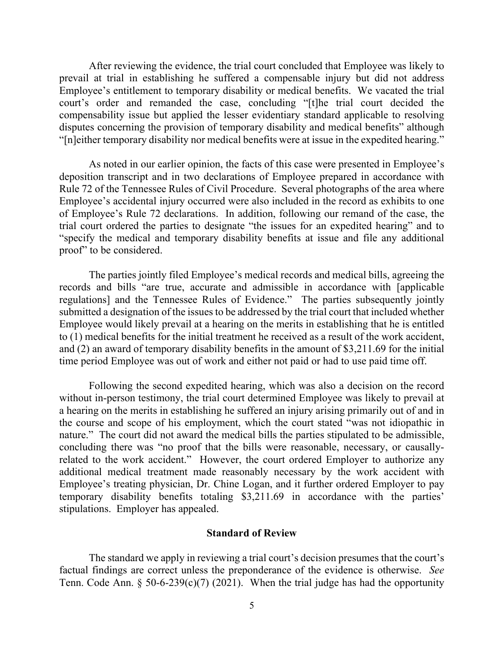After reviewing the evidence, the trial court concluded that Employee was likely to prevail at trial in establishing he suffered a compensable injury but did not address Employee's entitlement to temporary disability or medical benefits. We vacated the trial court's order and remanded the case, concluding "[t]he trial court decided the compensability issue but applied the lesser evidentiary standard applicable to resolving disputes concerning the provision of temporary disability and medical benefits" although "[n]either temporary disability nor medical benefits were at issue in the expedited hearing."

As noted in our earlier opinion, the facts of this case were presented in Employee's deposition transcript and in two declarations of Employee prepared in accordance with Rule 72 of the Tennessee Rules of Civil Procedure. Several photographs of the area where Employee's accidental injury occurred were also included in the record as exhibits to one of Employee's Rule 72 declarations. In addition, following our remand of the case, the trial court ordered the parties to designate "the issues for an expedited hearing" and to "specify the medical and temporary disability benefits at issue and file any additional proof" to be considered.

The parties jointly filed Employee's medical records and medical bills, agreeing the records and bills "are true, accurate and admissible in accordance with [applicable regulations] and the Tennessee Rules of Evidence." The parties subsequently jointly submitted a designation of the issues to be addressed by the trial court that included whether Employee would likely prevail at a hearing on the merits in establishing that he is entitled to (1) medical benefits for the initial treatment he received as a result of the work accident, and (2) an award of temporary disability benefits in the amount of \$3,211.69 for the initial time period Employee was out of work and either not paid or had to use paid time off.

Following the second expedited hearing, which was also a decision on the record without in-person testimony, the trial court determined Employee was likely to prevail at a hearing on the merits in establishing he suffered an injury arising primarily out of and in the course and scope of his employment, which the court stated "was not idiopathic in nature." The court did not award the medical bills the parties stipulated to be admissible, concluding there was "no proof that the bills were reasonable, necessary, or causallyrelated to the work accident." However, the court ordered Employer to authorize any additional medical treatment made reasonably necessary by the work accident with Employee's treating physician, Dr. Chine Logan, and it further ordered Employer to pay temporary disability benefits totaling \$3,211.69 in accordance with the parties' stipulations. Employer has appealed.

#### **Standard of Review**

The standard we apply in reviewing a trial court's decision presumes that the court's factual findings are correct unless the preponderance of the evidence is otherwise. *See* Tenn. Code Ann. § 50-6-239(c)(7) (2021). When the trial judge has had the opportunity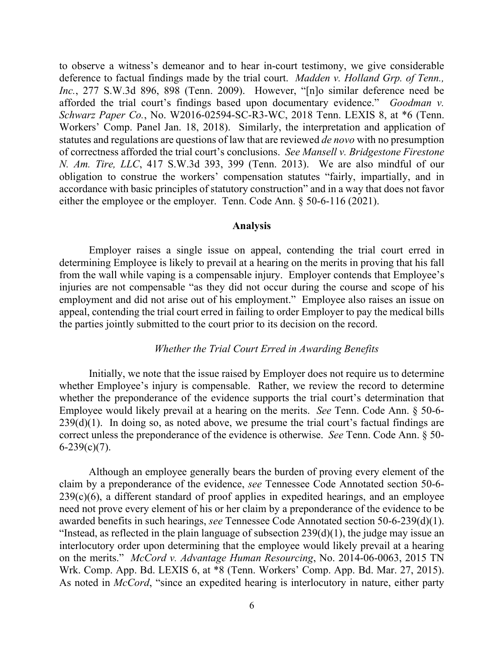to observe a witness's demeanor and to hear in-court testimony, we give considerable deference to factual findings made by the trial court. *Madden v. Holland Grp. of Tenn., Inc.*, 277 S.W.3d 896, 898 (Tenn. 2009). However, "[n]o similar deference need be afforded the trial court's findings based upon documentary evidence." *Goodman v. Schwarz Paper Co.*, No. W2016-02594-SC-R3-WC, 2018 Tenn. LEXIS 8, at \*6 (Tenn. Workers' Comp. Panel Jan. 18, 2018). Similarly, the interpretation and application of statutes and regulations are questions of law that are reviewed *de novo* with no presumption of correctness afforded the trial court's conclusions. *See Mansell v. Bridgestone Firestone N. Am. Tire, LLC*, 417 S.W.3d 393, 399 (Tenn. 2013). We are also mindful of our obligation to construe the workers' compensation statutes "fairly, impartially, and in accordance with basic principles of statutory construction" and in a way that does not favor either the employee or the employer. Tenn. Code Ann. § 50-6-116 (2021).

#### **Analysis**

Employer raises a single issue on appeal, contending the trial court erred in determining Employee is likely to prevail at a hearing on the merits in proving that his fall from the wall while vaping is a compensable injury. Employer contends that Employee's injuries are not compensable "as they did not occur during the course and scope of his employment and did not arise out of his employment." Employee also raises an issue on appeal, contending the trial court erred in failing to order Employer to pay the medical bills the parties jointly submitted to the court prior to its decision on the record.

### *Whether the Trial Court Erred in Awarding Benefits*

Initially, we note that the issue raised by Employer does not require us to determine whether Employee's injury is compensable. Rather, we review the record to determine whether the preponderance of the evidence supports the trial court's determination that Employee would likely prevail at a hearing on the merits. *See* Tenn. Code Ann. § 50-6-  $239(d)(1)$ . In doing so, as noted above, we presume the trial court's factual findings are correct unless the preponderance of the evidence is otherwise. *See* Tenn. Code Ann. § 50-  $6-239(c)(7)$ .

Although an employee generally bears the burden of proving every element of the claim by a preponderance of the evidence, *see* Tennessee Code Annotated section 50-6-  $239(c)(6)$ , a different standard of proof applies in expedited hearings, and an employee need not prove every element of his or her claim by a preponderance of the evidence to be awarded benefits in such hearings, *see* Tennessee Code Annotated section 50-6-239(d)(1). "Instead, as reflected in the plain language of subsection  $239(d)(1)$ , the judge may issue an interlocutory order upon determining that the employee would likely prevail at a hearing on the merits." *McCord v. Advantage Human Resourcing*, No. 2014-06-0063, 2015 TN Wrk. Comp. App. Bd. LEXIS 6, at \*8 (Tenn. Workers' Comp. App. Bd. Mar. 27, 2015). As noted in *McCord*, "since an expedited hearing is interlocutory in nature, either party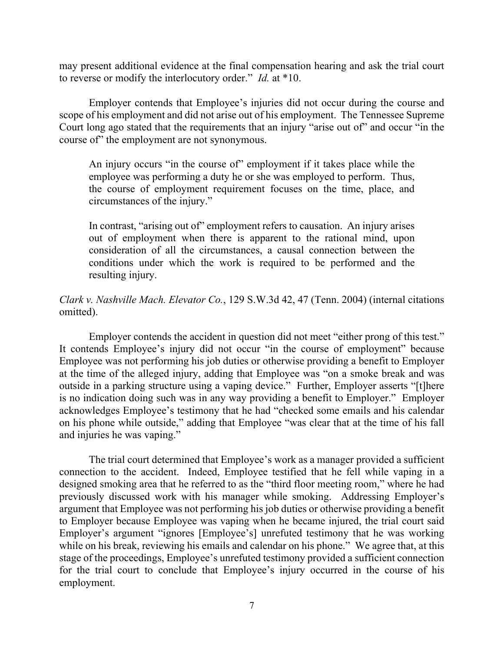may present additional evidence at the final compensation hearing and ask the trial court to reverse or modify the interlocutory order." *Id.* at \*10.

Employer contends that Employee's injuries did not occur during the course and scope of his employment and did not arise out of his employment. The Tennessee Supreme Court long ago stated that the requirements that an injury "arise out of" and occur "in the course of" the employment are not synonymous.

An injury occurs "in the course of" employment if it takes place while the employee was performing a duty he or she was employed to perform. Thus, the course of employment requirement focuses on the time, place, and circumstances of the injury."

In contrast, "arising out of" employment refers to causation. An injury arises out of employment when there is apparent to the rational mind, upon consideration of all the circumstances, a causal connection between the conditions under which the work is required to be performed and the resulting injury.

# *Clark v. Nashville Mach. Elevator Co.*, 129 S.W.3d 42, 47 (Tenn. 2004) (internal citations omitted).

Employer contends the accident in question did not meet "either prong of this test." It contends Employee's injury did not occur "in the course of employment" because Employee was not performing his job duties or otherwise providing a benefit to Employer at the time of the alleged injury, adding that Employee was "on a smoke break and was outside in a parking structure using a vaping device." Further, Employer asserts "[t]here is no indication doing such was in any way providing a benefit to Employer." Employer acknowledges Employee's testimony that he had "checked some emails and his calendar on his phone while outside," adding that Employee "was clear that at the time of his fall and injuries he was vaping."

The trial court determined that Employee's work as a manager provided a sufficient connection to the accident. Indeed, Employee testified that he fell while vaping in a designed smoking area that he referred to as the "third floor meeting room," where he had previously discussed work with his manager while smoking. Addressing Employer's argument that Employee was not performing his job duties or otherwise providing a benefit to Employer because Employee was vaping when he became injured, the trial court said Employer's argument "ignores [Employee's] unrefuted testimony that he was working while on his break, reviewing his emails and calendar on his phone." We agree that, at this stage of the proceedings, Employee's unrefuted testimony provided a sufficient connection for the trial court to conclude that Employee's injury occurred in the course of his employment.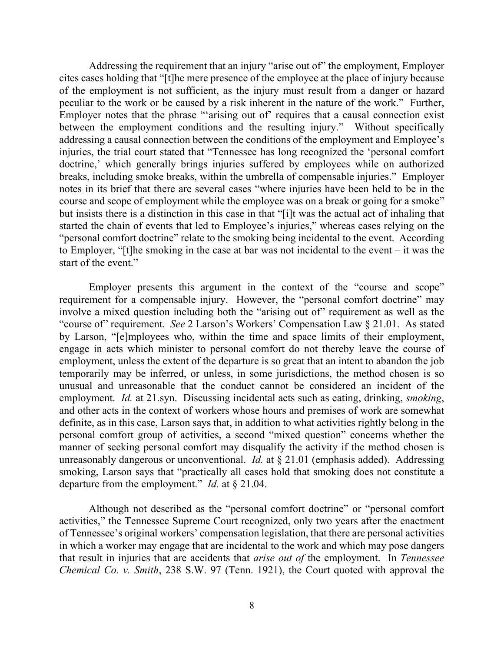Addressing the requirement that an injury "arise out of" the employment, Employer cites cases holding that "[t]he mere presence of the employee at the place of injury because of the employment is not sufficient, as the injury must result from a danger or hazard peculiar to the work or be caused by a risk inherent in the nature of the work." Further, Employer notes that the phrase "'arising out of' requires that a causal connection exist between the employment conditions and the resulting injury." Without specifically addressing a causal connection between the conditions of the employment and Employee's injuries, the trial court stated that "Tennessee has long recognized the 'personal comfort doctrine,' which generally brings injuries suffered by employees while on authorized breaks, including smoke breaks, within the umbrella of compensable injuries." Employer notes in its brief that there are several cases "where injuries have been held to be in the course and scope of employment while the employee was on a break or going for a smoke" but insists there is a distinction in this case in that "[i]t was the actual act of inhaling that started the chain of events that led to Employee's injuries," whereas cases relying on the "personal comfort doctrine" relate to the smoking being incidental to the event. According to Employer, "[t]he smoking in the case at bar was not incidental to the event – it was the start of the event."

Employer presents this argument in the context of the "course and scope" requirement for a compensable injury. However, the "personal comfort doctrine" may involve a mixed question including both the "arising out of" requirement as well as the "course of" requirement. *See* 2 Larson's Workers' Compensation Law § 21.01. As stated by Larson, "[e]mployees who, within the time and space limits of their employment, engage in acts which minister to personal comfort do not thereby leave the course of employment, unless the extent of the departure is so great that an intent to abandon the job temporarily may be inferred, or unless, in some jurisdictions, the method chosen is so unusual and unreasonable that the conduct cannot be considered an incident of the employment. *Id.* at 21.syn. Discussing incidental acts such as eating, drinking, *smoking*, and other acts in the context of workers whose hours and premises of work are somewhat definite, as in this case, Larson says that, in addition to what activities rightly belong in the personal comfort group of activities, a second "mixed question" concerns whether the manner of seeking personal comfort may disqualify the activity if the method chosen is unreasonably dangerous or unconventional. *Id.* at § 21.01 (emphasis added). Addressing smoking, Larson says that "practically all cases hold that smoking does not constitute a departure from the employment." *Id.* at § 21.04.

Although not described as the "personal comfort doctrine" or "personal comfort activities," the Tennessee Supreme Court recognized, only two years after the enactment of Tennessee's original workers' compensation legislation, that there are personal activities in which a worker may engage that are incidental to the work and which may pose dangers that result in injuries that are accidents that *arise out of* the employment. In *Tennessee Chemical Co. v. Smith*, 238 S.W. 97 (Tenn. 1921), the Court quoted with approval the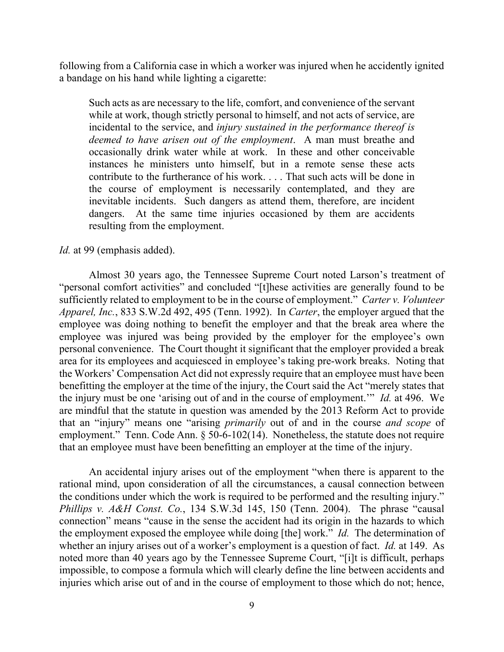following from a California case in which a worker was injured when he accidently ignited a bandage on his hand while lighting a cigarette:

Such acts as are necessary to the life, comfort, and convenience of the servant while at work, though strictly personal to himself, and not acts of service, are incidental to the service, and *injury sustained in the performance thereof is deemed to have arisen out of the employment*. A man must breathe and occasionally drink water while at work. In these and other conceivable instances he ministers unto himself, but in a remote sense these acts contribute to the furtherance of his work. . . . That such acts will be done in the course of employment is necessarily contemplated, and they are inevitable incidents. Such dangers as attend them, therefore, are incident dangers. At the same time injuries occasioned by them are accidents resulting from the employment.

### *Id.* at 99 (emphasis added).

Almost 30 years ago, the Tennessee Supreme Court noted Larson's treatment of "personal comfort activities" and concluded "[t]hese activities are generally found to be sufficiently related to employment to be in the course of employment." *Carter v. Volunteer Apparel, Inc.*, 833 S.W.2d 492, 495 (Tenn. 1992). In *Carter*, the employer argued that the employee was doing nothing to benefit the employer and that the break area where the employee was injured was being provided by the employer for the employee's own personal convenience. The Court thought it significant that the employer provided a break area for its employees and acquiesced in employee's taking pre-work breaks. Noting that the Workers' Compensation Act did not expressly require that an employee must have been benefitting the employer at the time of the injury, the Court said the Act "merely states that the injury must be one 'arising out of and in the course of employment.'" *Id.* at 496. We are mindful that the statute in question was amended by the 2013 Reform Act to provide that an "injury" means one "arising *primarily* out of and in the course *and scope* of employment." Tenn. Code Ann. § 50-6-102(14). Nonetheless, the statute does not require that an employee must have been benefitting an employer at the time of the injury.

An accidental injury arises out of the employment "when there is apparent to the rational mind, upon consideration of all the circumstances, a causal connection between the conditions under which the work is required to be performed and the resulting injury." *Phillips v. A&H Const. Co.*, 134 S.W.3d 145, 150 (Tenn. 2004). The phrase "causal connection" means "cause in the sense the accident had its origin in the hazards to which the employment exposed the employee while doing [the] work." *Id.* The determination of whether an injury arises out of a worker's employment is a question of fact. *Id.* at 149. As noted more than 40 years ago by the Tennessee Supreme Court, "[i]t is difficult, perhaps impossible, to compose a formula which will clearly define the line between accidents and injuries which arise out of and in the course of employment to those which do not; hence,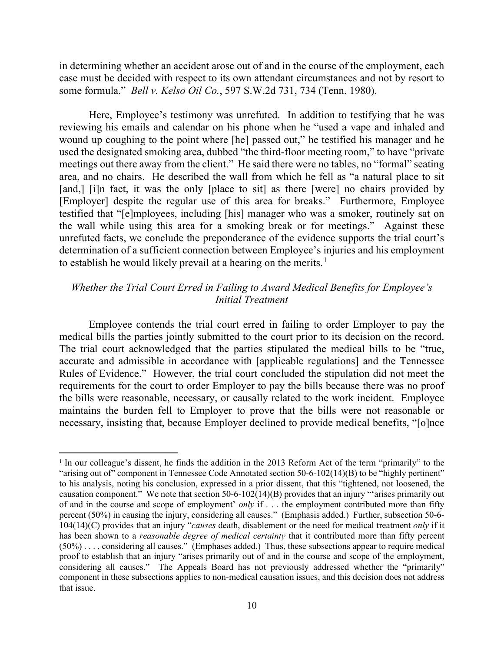in determining whether an accident arose out of and in the course of the employment, each case must be decided with respect to its own attendant circumstances and not by resort to some formula." *Bell v. Kelso Oil Co.*, 597 S.W.2d 731, 734 (Tenn. 1980).

Here, Employee's testimony was unrefuted. In addition to testifying that he was reviewing his emails and calendar on his phone when he "used a vape and inhaled and wound up coughing to the point where [he] passed out," he testified his manager and he used the designated smoking area, dubbed "the third-floor meeting room," to have "private meetings out there away from the client." He said there were no tables, no "formal" seating area, and no chairs. He described the wall from which he fell as "a natural place to sit [and,] [i]n fact, it was the only [place to sit] as there [were] no chairs provided by [Employer] despite the regular use of this area for breaks." Furthermore, Employee testified that "[e]mployees, including [his] manager who was a smoker, routinely sat on the wall while using this area for a smoking break or for meetings." Against these unrefuted facts, we conclude the preponderance of the evidence supports the trial court's determination of a sufficient connection between Employee's injuries and his employment to establish he would likely prevail at a hearing on the merits.<sup>[1](#page-9-0)</sup>

## *Whether the Trial Court Erred in Failing to Award Medical Benefits for Employee's Initial Treatment*

Employee contends the trial court erred in failing to order Employer to pay the medical bills the parties jointly submitted to the court prior to its decision on the record. The trial court acknowledged that the parties stipulated the medical bills to be "true, accurate and admissible in accordance with [applicable regulations] and the Tennessee Rules of Evidence." However, the trial court concluded the stipulation did not meet the requirements for the court to order Employer to pay the bills because there was no proof the bills were reasonable, necessary, or causally related to the work incident. Employee maintains the burden fell to Employer to prove that the bills were not reasonable or necessary, insisting that, because Employer declined to provide medical benefits, "[o]nce

<span id="page-9-0"></span><sup>1</sup> In our colleague's dissent, he finds the addition in the 2013 Reform Act of the term "primarily" to the "arising out of" component in Tennessee Code Annotated section 50-6-102(14)(B) to be "highly pertinent" to his analysis, noting his conclusion, expressed in a prior dissent, that this "tightened, not loosened, the causation component." We note that section  $50-6-102(14)(B)$  provides that an injury "arises primarily out of and in the course and scope of employment' *only* if . . . the employment contributed more than fifty percent (50%) in causing the injury, considering all causes." (Emphasis added.) Further, subsection 50-6- 104(14)(C) provides that an injury "*causes* death, disablement or the need for medical treatment *only* if it has been shown to a *reasonable degree of medical certainty* that it contributed more than fifty percent (50%) . . . , considering all causes." (Emphases added.) Thus, these subsections appear to require medical proof to establish that an injury "arises primarily out of and in the course and scope of the employment, considering all causes." The Appeals Board has not previously addressed whether the "primarily" component in these subsections applies to non-medical causation issues, and this decision does not address that issue.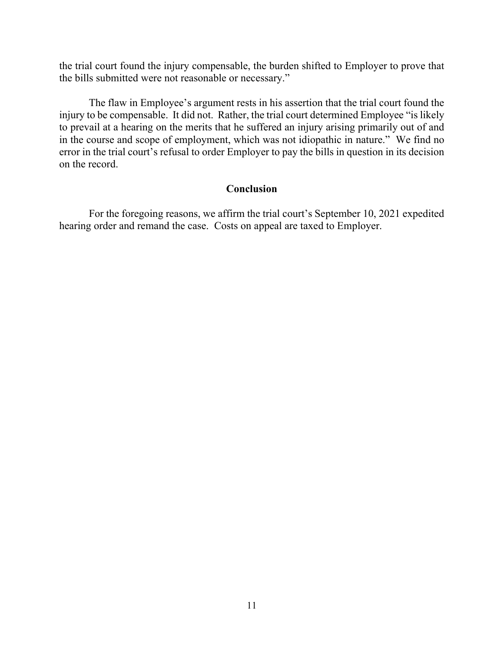the trial court found the injury compensable, the burden shifted to Employer to prove that the bills submitted were not reasonable or necessary."

The flaw in Employee's argument rests in his assertion that the trial court found the injury to be compensable. It did not. Rather, the trial court determined Employee "is likely to prevail at a hearing on the merits that he suffered an injury arising primarily out of and in the course and scope of employment, which was not idiopathic in nature." We find no error in the trial court's refusal to order Employer to pay the bills in question in its decision on the record.

### **Conclusion**

For the foregoing reasons, we affirm the trial court's September 10, 2021 expedited hearing order and remand the case. Costs on appeal are taxed to Employer.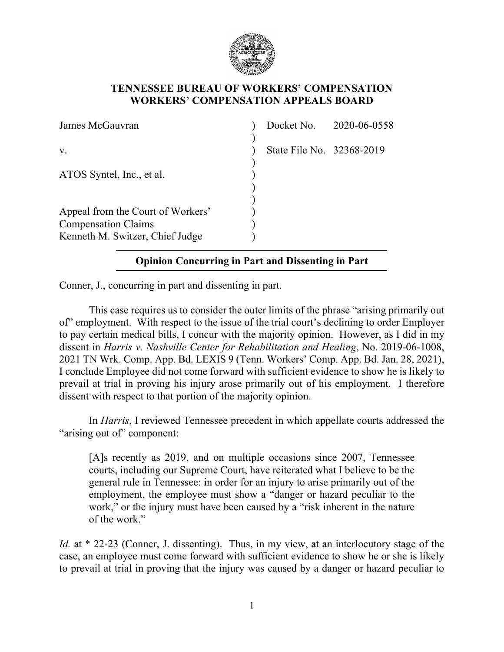

## **TENNESSEE BUREAU OF WORKERS' COMPENSATION WORKERS' COMPENSATION APPEALS BOARD**

| James McGauvran                                                                                    |                           | Docket No. 2020-06-0558 |
|----------------------------------------------------------------------------------------------------|---------------------------|-------------------------|
| V.                                                                                                 | State File No. 32368-2019 |                         |
| ATOS Syntel, Inc., et al.                                                                          |                           |                         |
| Appeal from the Court of Workers'<br><b>Compensation Claims</b><br>Kenneth M. Switzer, Chief Judge |                           |                         |

# **Opinion Concurring in Part and Dissenting in Part**

Conner, J., concurring in part and dissenting in part.

This case requires us to consider the outer limits of the phrase "arising primarily out of" employment. With respect to the issue of the trial court's declining to order Employer to pay certain medical bills, I concur with the majority opinion. However, as I did in my dissent in *Harris v. Nashville Center for Rehabilitation and Healing*, No. 2019-06-1008, 2021 TN Wrk. Comp. App. Bd. LEXIS 9 (Tenn. Workers' Comp. App. Bd. Jan. 28, 2021), I conclude Employee did not come forward with sufficient evidence to show he is likely to prevail at trial in proving his injury arose primarily out of his employment. I therefore dissent with respect to that portion of the majority opinion.

In *Harris*, I reviewed Tennessee precedent in which appellate courts addressed the "arising out of" component:

[A]s recently as 2019, and on multiple occasions since 2007, Tennessee courts, including our Supreme Court, have reiterated what I believe to be the general rule in Tennessee: in order for an injury to arise primarily out of the employment, the employee must show a "danger or hazard peculiar to the work," or the injury must have been caused by a "risk inherent in the nature of the work."

*Id.* at \* 22-23 (Conner, J. dissenting). Thus, in my view, at an interlocutory stage of the case, an employee must come forward with sufficient evidence to show he or she is likely to prevail at trial in proving that the injury was caused by a danger or hazard peculiar to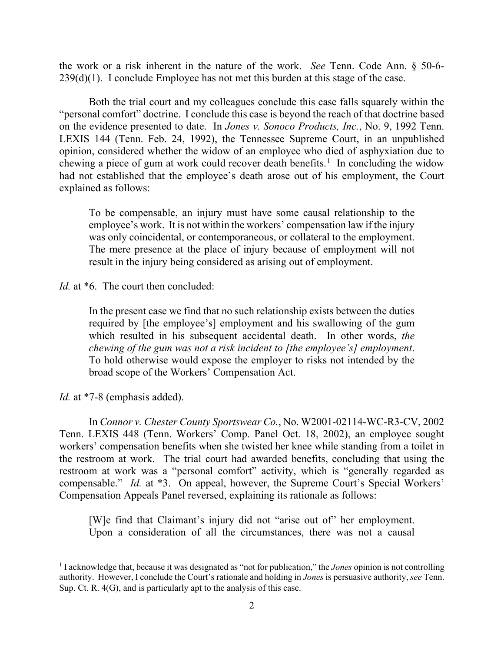the work or a risk inherent in the nature of the work. *See* Tenn. Code Ann. § 50-6-  $239(d)(1)$ . I conclude Employee has not met this burden at this stage of the case.

Both the trial court and my colleagues conclude this case falls squarely within the "personal comfort" doctrine. I conclude this case is beyond the reach of that doctrine based on the evidence presented to date. In *Jones v. Sonoco Products, Inc.*, No. 9, 1992 Tenn. LEXIS 144 (Tenn. Feb. 24, 1992), the Tennessee Supreme Court, in an unpublished opinion, considered whether the widow of an employee who died of asphyxiation due to chewing a piece of gum at work could recover death benefits.<sup>[1](#page-12-0)</sup> In concluding the widow had not established that the employee's death arose out of his employment, the Court explained as follows:

To be compensable, an injury must have some causal relationship to the employee's work. It is not within the workers' compensation law if the injury was only coincidental, or contemporaneous, or collateral to the employment. The mere presence at the place of injury because of employment will not result in the injury being considered as arising out of employment.

*Id.* at  $*6$ . The court then concluded:

In the present case we find that no such relationship exists between the duties required by [the employee's] employment and his swallowing of the gum which resulted in his subsequent accidental death. In other words, *the chewing of the gum was not a risk incident to [the employee's] employment*. To hold otherwise would expose the employer to risks not intended by the broad scope of the Workers' Compensation Act.

*Id.* at \*7-8 (emphasis added).

In *Connor v. Chester County Sportswear Co.*, No. W2001-02114-WC-R3-CV, 2002 Tenn. LEXIS 448 (Tenn. Workers' Comp. Panel Oct. 18, 2002), an employee sought workers' compensation benefits when she twisted her knee while standing from a toilet in the restroom at work. The trial court had awarded benefits, concluding that using the restroom at work was a "personal comfort" activity, which is "generally regarded as compensable." *Id.* at \*3. On appeal, however, the Supreme Court's Special Workers' Compensation Appeals Panel reversed, explaining its rationale as follows:

[W]e find that Claimant's injury did not "arise out of" her employment. Upon a consideration of all the circumstances, there was not a causal

<span id="page-12-0"></span><sup>&</sup>lt;sup>1</sup> I acknowledge that, because it was designated as "not for publication," the *Jones* opinion is not controlling authority. However, I conclude the Court's rationale and holding in *Jones* is persuasive authority, *see* Tenn. Sup. Ct. R. 4(G), and is particularly apt to the analysis of this case.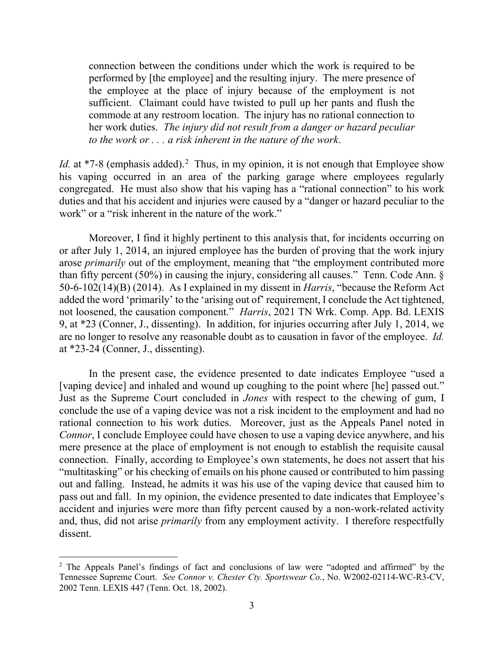connection between the conditions under which the work is required to be performed by [the employee] and the resulting injury. The mere presence of the employee at the place of injury because of the employment is not sufficient. Claimant could have twisted to pull up her pants and flush the commode at any restroom location. The injury has no rational connection to her work duties. *The injury did not result from a danger or hazard peculiar to the work or . . . a risk inherent in the nature of the work*.

*Id.* at  $*7-8$  (emphasis added).<sup>[2](#page-13-0)</sup> Thus, in my opinion, it is not enough that Employee show his vaping occurred in an area of the parking garage where employees regularly congregated. He must also show that his vaping has a "rational connection" to his work duties and that his accident and injuries were caused by a "danger or hazard peculiar to the work" or a "risk inherent in the nature of the work."

Moreover, I find it highly pertinent to this analysis that, for incidents occurring on or after July 1, 2014, an injured employee has the burden of proving that the work injury arose *primarily* out of the employment, meaning that "the employment contributed more than fifty percent (50%) in causing the injury, considering all causes." Tenn. Code Ann. § 50-6-102(14)(B) (2014). As I explained in my dissent in *Harris*, "because the Reform Act added the word 'primarily' to the 'arising out of' requirement, I conclude the Act tightened, not loosened, the causation component." *Harris*, 2021 TN Wrk. Comp. App. Bd. LEXIS 9, at \*23 (Conner, J., dissenting). In addition, for injuries occurring after July 1, 2014, we are no longer to resolve any reasonable doubt as to causation in favor of the employee. *Id.* at \*23-24 (Conner, J., dissenting).

In the present case, the evidence presented to date indicates Employee "used a [vaping device] and inhaled and wound up coughing to the point where [he] passed out." Just as the Supreme Court concluded in *Jones* with respect to the chewing of gum, I conclude the use of a vaping device was not a risk incident to the employment and had no rational connection to his work duties. Moreover, just as the Appeals Panel noted in *Connor*, I conclude Employee could have chosen to use a vaping device anywhere, and his mere presence at the place of employment is not enough to establish the requisite causal connection. Finally, according to Employee's own statements, he does not assert that his "multitasking" or his checking of emails on his phone caused or contributed to him passing out and falling. Instead, he admits it was his use of the vaping device that caused him to pass out and fall. In my opinion, the evidence presented to date indicates that Employee's accident and injuries were more than fifty percent caused by a non-work-related activity and, thus, did not arise *primarily* from any employment activity. I therefore respectfully dissent.

<span id="page-13-0"></span><sup>&</sup>lt;sup>2</sup> The Appeals Panel's findings of fact and conclusions of law were "adopted and affirmed" by the Tennessee Supreme Court. *See Connor v. Chester Cty. Sportswear Co.*, No. W2002-02114-WC-R3-CV, 2002 Tenn. LEXIS 447 (Tenn. Oct. 18, 2002).